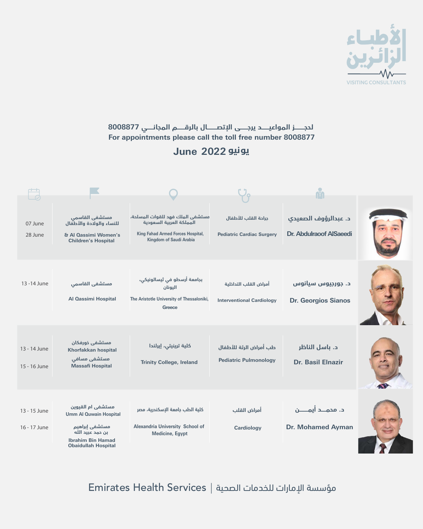#### **يونيو 2022 June**



| 15 - 16 June                 | مستشفى مسافى<br><b>Massafi Hospital</b>                                                                                                            | <b>Trinity College, Ireland</b>                                                                     | <b>Pediatric Pulmonology</b>     | <b>Dr. Basil Elnazir</b>                         |  |
|------------------------------|----------------------------------------------------------------------------------------------------------------------------------------------------|-----------------------------------------------------------------------------------------------------|----------------------------------|--------------------------------------------------|--|
| 13 - 15 June<br>16 - 17 June | مستشفى ام القيوين<br><b>Umm Al Quwain Hospital</b><br>مستشفى إبراهيم<br>بن حمد عبيد الله<br><b>Ibrahim Bin Hamad</b><br><b>Obaidullah Hospital</b> | كلية الطب جامعة الإسكندرية، مصر<br><b>Alexandria University School of</b><br><b>Medicine, Egypt</b> | أمراض القلب<br><b>Cardiology</b> | د. محمـــد أيمـــــن<br><b>Dr. Mohamed Ayman</b> |  |

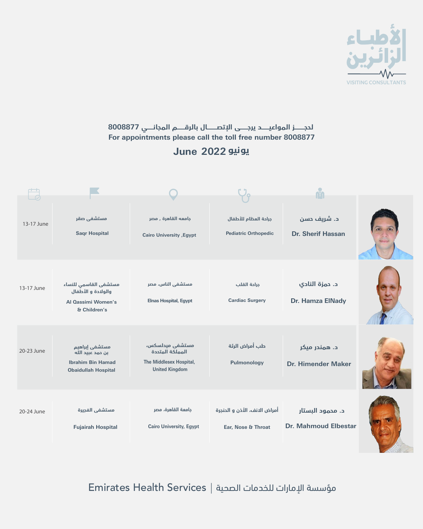#### **يونيو 2022 June**

| $20 - 23$ June | بن حمد عبيد الله<br><b>Ibrahim Bin Hamad</b><br><b>Obaidullah Hospital</b> | المملكة المتددة<br>The Middlesex Hospital,<br><b>United Kingdom</b> | Pulmonology                                        | <b>Dr. Himender Maker</b>                       |  |
|----------------|----------------------------------------------------------------------------|---------------------------------------------------------------------|----------------------------------------------------|-------------------------------------------------|--|
| 20-24 June     | مستشفى الفجيرة<br><b>Fujairah Hospital</b>                                 | جامعة القاهرة، مصر<br><b>Cairo University, Egypt</b>                | أمراض الانف، الأذن و الحنجرة<br>Ear, Nose & Throat | د. محمود البستار<br><b>Dr. Mahmoud Elbestar</b> |  |



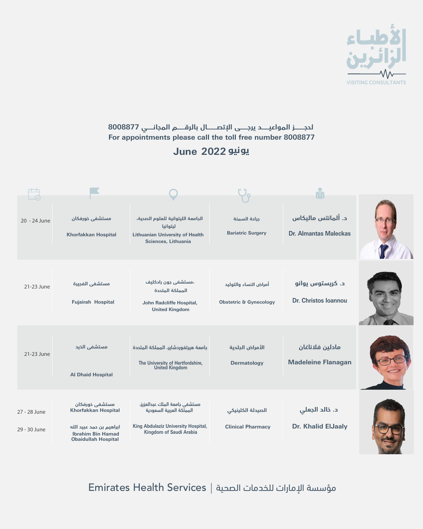#### **يونيو 2022 June**



| 21-23 June                   | <b>Al Dhaid Hospital</b>                                                                                                           | The University of Hertfordshire,<br>United Kingdom                                                                                        | <b>Dermatology</b>                            | $- - - - - - - - -$<br><b>Madeleine Flanagan</b> |  |
|------------------------------|------------------------------------------------------------------------------------------------------------------------------------|-------------------------------------------------------------------------------------------------------------------------------------------|-----------------------------------------------|--------------------------------------------------|--|
| 27 - 28 June<br>29 - 30 June | مستشفى خورفكان<br><b>Khorfakkan Hospital</b><br>ابراهيم بن حمد عبيد الله<br><b>Ibrahim Bin Hamad</b><br><b>Obaidullah Hospital</b> | مستشفى بامعة الملك عبدالعزيز،<br>المملكة العربية السعودية<br><b>King Abdulaziz University Hospital,</b><br><b>Kingdom of Saudi Arabia</b> | الصيدلة الكلينيكي<br><b>Clinical Pharmacy</b> | د. خالد الجعلي<br><b>Dr. Khalid ElJaaly</b>      |  |

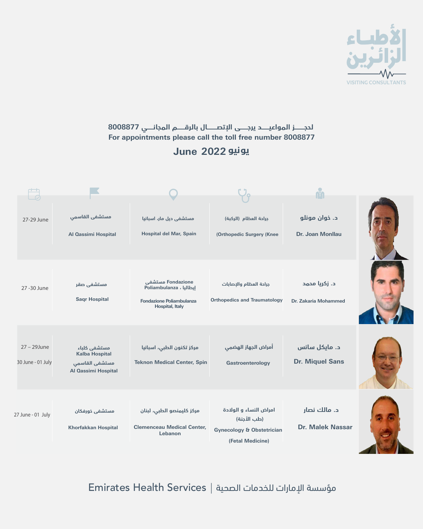#### **يونيو 2022 June**



| 30 June - 01 July | Kalba Hospital<br>مستشفى القاسمى<br>Al Qassimi Hospital | <b>Teknon Medical Center, Spin</b>                                        | <b>Gastroenterology</b>                                                                           | <b>Dr. Miquel Sans</b>                  |  |
|-------------------|---------------------------------------------------------|---------------------------------------------------------------------------|---------------------------------------------------------------------------------------------------|-----------------------------------------|--|
| 27 June - 01 July | مستشفى خورفكان<br><b>Khorfakkan Hospital</b>            | مركز كليمنصو الطبى، لبنان<br><b>Clemenceau Medical Center,</b><br>Lebanon | امراض النساء و الولادة<br>(طب الأجنة)<br><b>Gynecology &amp; Obstetrician</b><br>(Fetal Medicine) | د. مالك نصار<br><b>Dr. Malek Nassar</b> |  |